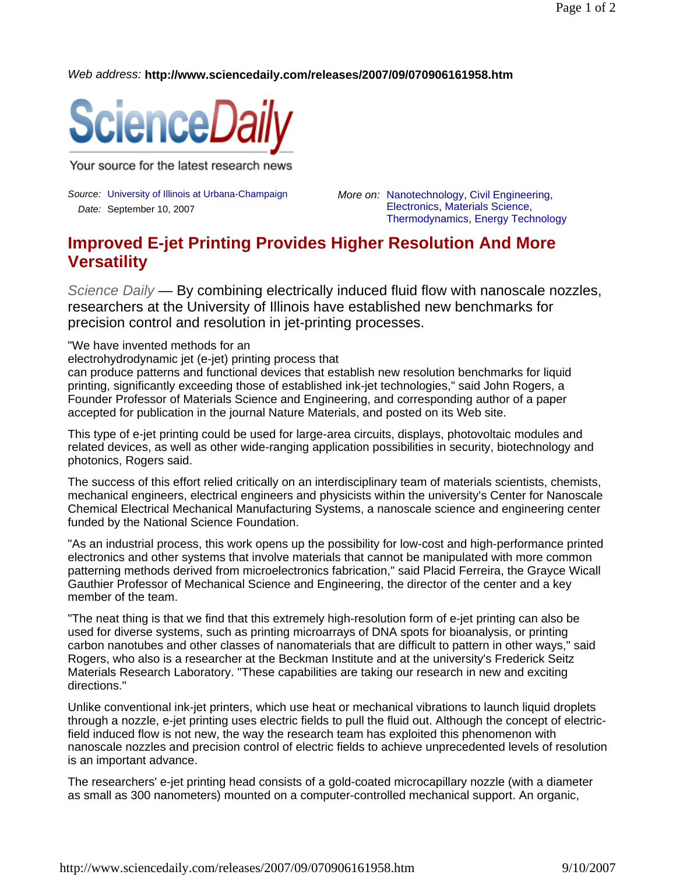*Web address:* **http://www.sciencedaily.com/releases/2007/09/070906161958.htm**



Your source for the latest research news

*Source:* University of Illinois at Urbana-Champaign *Date:* September 10, 2007

*More on:* Nanotechnology, Civil Engineering, Electronics, Materials Science, Thermodynamics, Energy Technology

## **Improved E-jet Printing Provides Higher Resolution And More Versatility**

*Science Daily —* By combining electrically induced fluid flow with nanoscale nozzles, researchers at the University of Illinois have established new benchmarks for precision control and resolution in jet-printing processes.

"We have invented methods for an

electrohydrodynamic jet (e-jet) printing process that

can produce patterns and functional devices that establish new resolution benchmarks for liquid printing, significantly exceeding those of established ink-jet technologies," said John Rogers, a Founder Professor of Materials Science and Engineering, and corresponding author of a paper accepted for publication in the journal Nature Materials, and posted on its Web site.

This type of e-jet printing could be used for large-area circuits, displays, photovoltaic modules and related devices, as well as other wide-ranging application possibilities in security, biotechnology and photonics, Rogers said.

The success of this effort relied critically on an interdisciplinary team of materials scientists, chemists, mechanical engineers, electrical engineers and physicists within the university's Center for Nanoscale Chemical Electrical Mechanical Manufacturing Systems, a nanoscale science and engineering center funded by the National Science Foundation.

"As an industrial process, this work opens up the possibility for low-cost and high-performance printed electronics and other systems that involve materials that cannot be manipulated with more common patterning methods derived from microelectronics fabrication," said Placid Ferreira, the Grayce Wicall Gauthier Professor of Mechanical Science and Engineering, the director of the center and a key member of the team.

"The neat thing is that we find that this extremely high-resolution form of e-jet printing can also be used for diverse systems, such as printing microarrays of DNA spots for bioanalysis, or printing carbon nanotubes and other classes of nanomaterials that are difficult to pattern in other ways," said Rogers, who also is a researcher at the Beckman Institute and at the university's Frederick Seitz Materials Research Laboratory. "These capabilities are taking our research in new and exciting directions."

Unlike conventional ink-jet printers, which use heat or mechanical vibrations to launch liquid droplets through a nozzle, e-jet printing uses electric fields to pull the fluid out. Although the concept of electricfield induced flow is not new, the way the research team has exploited this phenomenon with nanoscale nozzles and precision control of electric fields to achieve unprecedented levels of resolution is an important advance.

The researchers' e-jet printing head consists of a gold-coated microcapillary nozzle (with a diameter as small as 300 nanometers) mounted on a computer-controlled mechanical support. An organic,